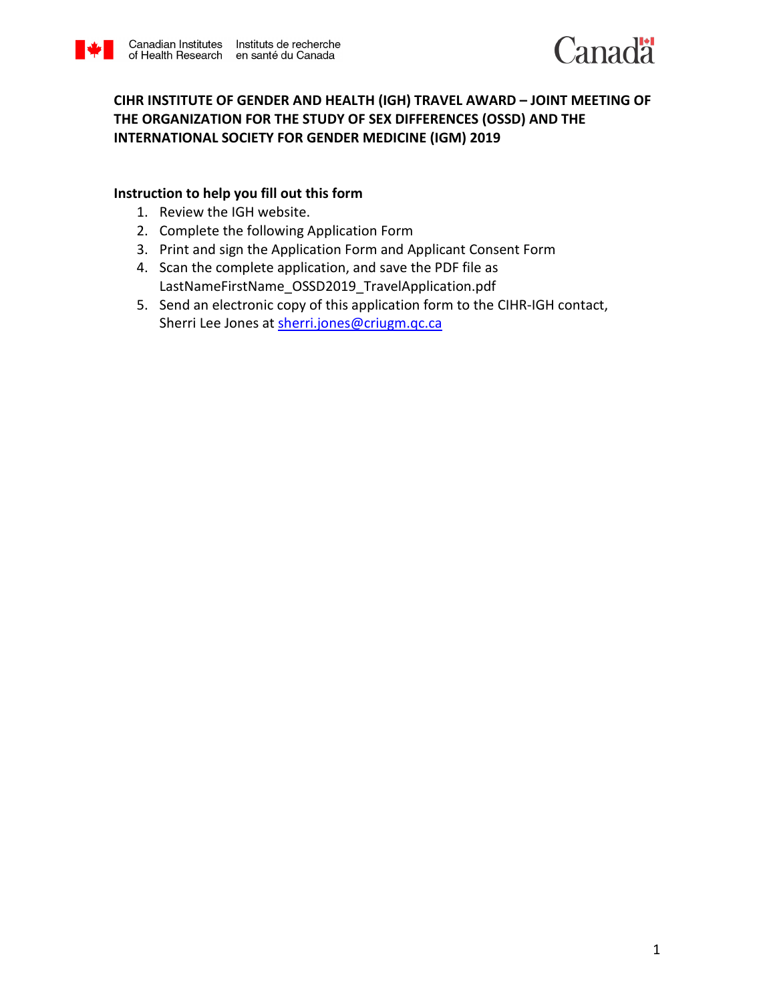



# **CIHR INSTITUTE OF GENDER AND HEALTH (IGH) TRAVEL AWARD – JOINT MEETING OF THE ORGANIZATION FOR THE STUDY OF SEX DIFFERENCES (OSSD) AND THE INTERNATIONAL SOCIETY FOR GENDER MEDICINE (IGM) 2019**

# **Instruction to help you fill out this form**

- 1. Review the IGH website.
- 2. Complete the following Application Form
- 3. Print and sign the Application Form and Applicant Consent Form
- 4. Scan the complete application, and save the PDF file as LastNameFirstName\_OSSD2019\_TravelApplication.pdf
- 5. Send an electronic copy of this application form to the CIHR-IGH contact, Sherri Lee Jones a[t sherri.jones@criugm.qc.ca](mailto:sherri.jones@criugm.qc.ca)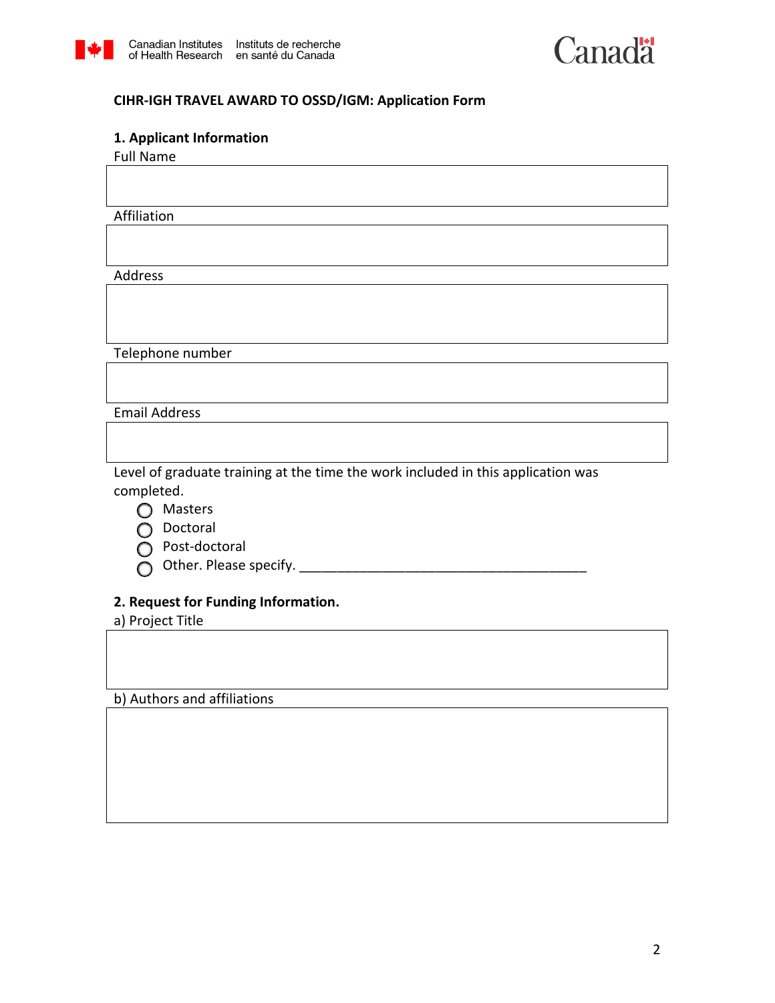



# **CIHR-IGH TRAVEL AWARD TO OSSD/IGM: Application Form**

#### **1. Applicant Information**

Full Name

Affiliation

Address

Telephone number

Email Address

Level of graduate training at the time the work included in this application was completed.



o Doctoral

- $\overline{O}$  Post-doctoral
- o Other. Please specify. \_\_\_\_\_\_\_\_\_\_\_\_\_\_\_\_\_\_\_\_\_\_\_\_\_\_\_\_\_\_\_\_\_\_\_\_\_\_

# **2. Request for Funding Information.**

a) Project Title

b) Authors and affiliations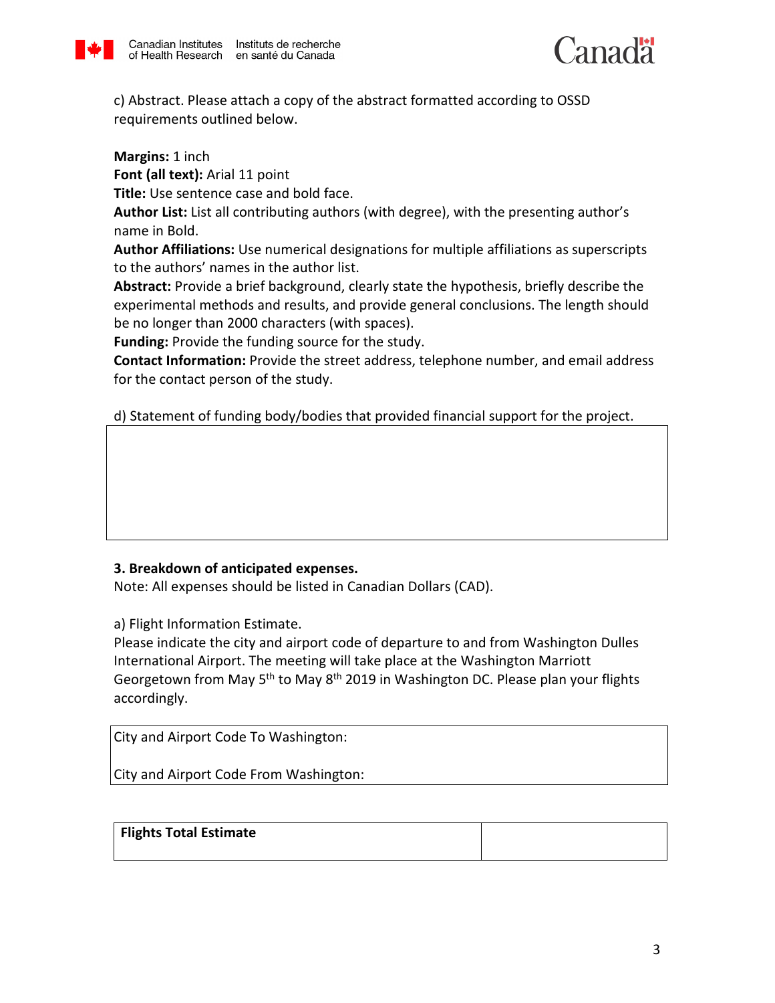



c) Abstract. Please attach a copy of the abstract formatted according to OSSD requirements outlined below.

**Margins:** 1 inch

**Font (all text):** Arial 11 point

**Title:** Use sentence case and bold face.

**Author List:** List all contributing authors (with degree), with the presenting author's name in Bold.

**Author Affiliations:** Use numerical designations for multiple affiliations as superscripts to the authors' names in the author list.

**Abstract:** Provide a brief background, clearly state the hypothesis, briefly describe the experimental methods and results, and provide general conclusions. The length should be no longer than 2000 characters (with spaces).

**Funding:** Provide the funding source for the study.

**Contact Information:** Provide the street address, telephone number, and email address for the contact person of the study.

d) Statement of funding body/bodies that provided financial support for the project.

# **3. Breakdown of anticipated expenses.**

Note: All expenses should be listed in Canadian Dollars (CAD).

a) Flight Information Estimate.

Please indicate the city and airport code of departure to and from Washington Dulles International Airport. The meeting will take place at the Washington Marriott Georgetown from May 5<sup>th</sup> to May 8<sup>th</sup> 2019 in Washington DC. Please plan your flights accordingly.

City and Airport Code To Washington:

City and Airport Code From Washington:

| Flights Total Estimate |  |
|------------------------|--|
|                        |  |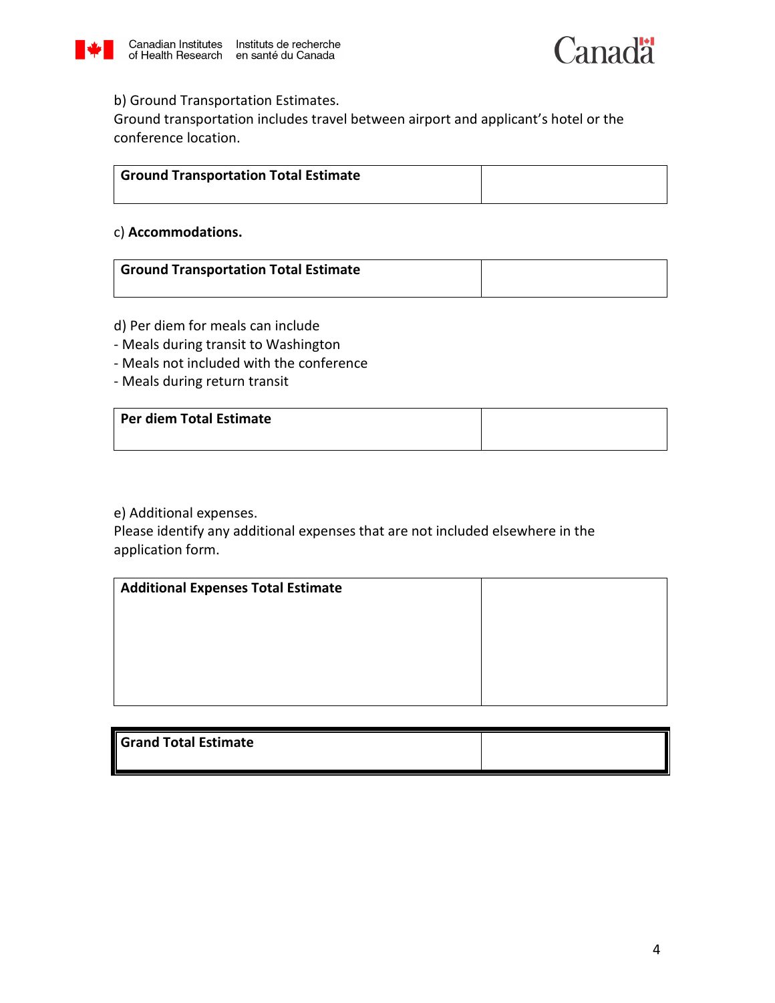



# b) Ground Transportation Estimates.

Ground transportation includes travel between airport and applicant's hotel or the conference location.

| <sup>1</sup> Ground Transportation Total Estimate |  |
|---------------------------------------------------|--|
|                                                   |  |

#### c) **Accommodations.**

| <b>Ground Transportation Total Estimate</b> |  |
|---------------------------------------------|--|
|                                             |  |

- d) Per diem for meals can include
- Meals during transit to Washington
- Meals not included with the conference
- Meals during return transit

| Per diem Total Estimate |  |
|-------------------------|--|
|                         |  |

e) Additional expenses.

Please identify any additional expenses that are not included elsewhere in the application form.

| <b>Additional Expenses Total Estimate</b> |  |
|-------------------------------------------|--|
|                                           |  |
|                                           |  |
|                                           |  |
|                                           |  |

| <b>Grand Total Estimate</b> |  |
|-----------------------------|--|
|                             |  |
|                             |  |